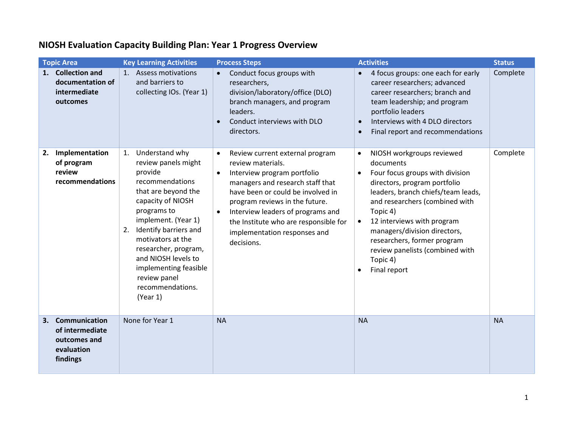|    | <b>Topic Area</b>                                                                 | <b>Key Learning Activities</b>                                                                                                                                                                                                                                                                                                          | <b>Process Steps</b>                                                                                                                                                                                                                                                                                                                    | <b>Activities</b>                                                                                                                                                                                                                                                                                                                                                                                             | <b>Status</b> |
|----|-----------------------------------------------------------------------------------|-----------------------------------------------------------------------------------------------------------------------------------------------------------------------------------------------------------------------------------------------------------------------------------------------------------------------------------------|-----------------------------------------------------------------------------------------------------------------------------------------------------------------------------------------------------------------------------------------------------------------------------------------------------------------------------------------|---------------------------------------------------------------------------------------------------------------------------------------------------------------------------------------------------------------------------------------------------------------------------------------------------------------------------------------------------------------------------------------------------------------|---------------|
| 1. | <b>Collection and</b><br>documentation of<br>intermediate<br>outcomes             | 1. Assess motivations<br>and barriers to<br>collecting IOs. (Year 1)                                                                                                                                                                                                                                                                    | Conduct focus groups with<br>researchers,<br>division/laboratory/office (DLO)<br>branch managers, and program<br>leaders.<br>Conduct interviews with DLO<br>directors.                                                                                                                                                                  | 4 focus groups: one each for early<br>$\bullet$<br>career researchers; advanced<br>career researchers; branch and<br>team leadership; and program<br>portfolio leaders<br>Interviews with 4 DLO directors<br>$\bullet$<br>Final report and recommendations<br>$\bullet$                                                                                                                                       | Complete      |
| 2. | Implementation<br>of program<br>review<br>recommendations                         | Understand why<br>1.<br>review panels might<br>provide<br>recommendations<br>that are beyond the<br>capacity of NIOSH<br>programs to<br>implement. (Year 1)<br>Identify barriers and<br>2.<br>motivators at the<br>researcher, program,<br>and NIOSH levels to<br>implementing feasible<br>review panel<br>recommendations.<br>(Year 1) | Review current external program<br>$\bullet$<br>review materials.<br>Interview program portfolio<br>managers and research staff that<br>have been or could be involved in<br>program reviews in the future.<br>Interview leaders of programs and<br>the Institute who are responsible for<br>implementation responses and<br>decisions. | NIOSH workgroups reviewed<br>$\bullet$<br>documents<br>Four focus groups with division<br>$\bullet$<br>directors, program portfolio<br>leaders, branch chiefs/team leads,<br>and researchers (combined with<br>Topic 4)<br>12 interviews with program<br>$\bullet$<br>managers/division directors,<br>researchers, former program<br>review panelists (combined with<br>Topic 4)<br>Final report<br>$\bullet$ | Complete      |
| 3. | <b>Communication</b><br>of intermediate<br>outcomes and<br>evaluation<br>findings | None for Year 1                                                                                                                                                                                                                                                                                                                         | <b>NA</b>                                                                                                                                                                                                                                                                                                                               | <b>NA</b>                                                                                                                                                                                                                                                                                                                                                                                                     | <b>NA</b>     |

## **NIOSH Evaluation Capacity Building Plan: Year 1 Progress Overview**